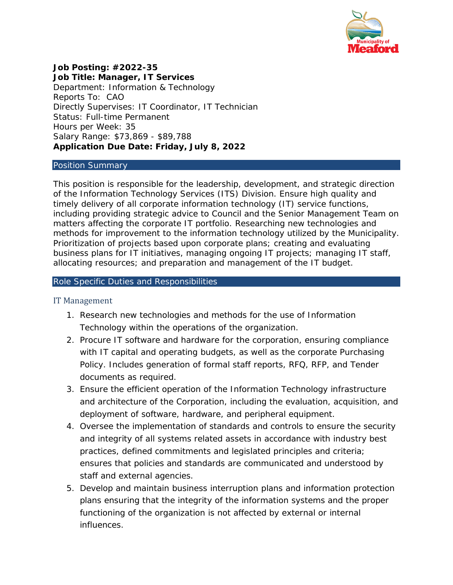

**Job Posting: #2022-35 Job Title: Manager, IT Services** Department: Information & Technology Reports To: CAO Directly Supervises: IT Coordinator, IT Technician Status: Full-time Permanent Hours per Week: 35 Salary Range: \$73,869 - \$89,788 **Application Due Date: Friday, July 8, 2022**

## Position Summary

This position is responsible for the leadership, development, and strategic direction of the Information Technology Services (ITS) Division. Ensure high quality and timely delivery of all corporate information technology (IT) service functions, including providing strategic advice to Council and the Senior Management Team on matters affecting the corporate IT portfolio. Researching new technologies and methods for improvement to the information technology utilized by the Municipality. Prioritization of projects based upon corporate plans; creating and evaluating business plans for IT initiatives, managing ongoing IT projects; managing IT staff, allocating resources; and preparation and management of the IT budget.

## Role Specific Duties and Responsibilities

## IT Management

- 1. Research new technologies and methods for the use of Information Technology within the operations of the organization.
- 2. Procure IT software and hardware for the corporation, ensuring compliance with IT capital and operating budgets, as well as the corporate Purchasing Policy. Includes generation of formal staff reports, RFQ, RFP, and Tender documents as required.
- 3. Ensure the efficient operation of the Information Technology infrastructure and architecture of the Corporation, including the evaluation, acquisition, and deployment of software, hardware, and peripheral equipment.
- 4. Oversee the implementation of standards and controls to ensure the security and integrity of all systems related assets in accordance with industry best practices, defined commitments and legislated principles and criteria; ensures that policies and standards are communicated and understood by staff and external agencies.
- 5. Develop and maintain business interruption plans and information protection plans ensuring that the integrity of the information systems and the proper functioning of the organization is not affected by external or internal influences.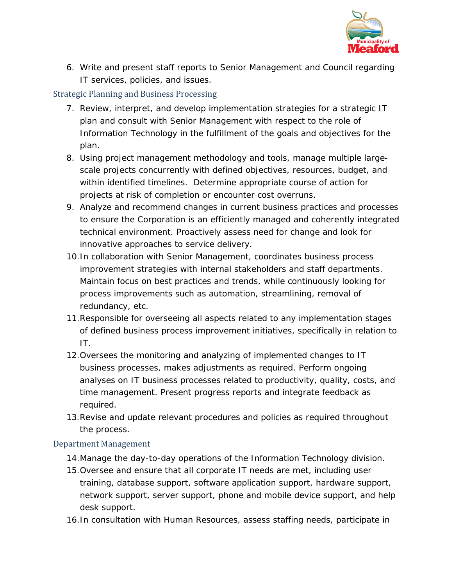

6. Write and present staff reports to Senior Management and Council regarding IT services, policies, and issues.

# Strategic Planning and Business Processing

- 7. Review, interpret, and develop implementation strategies for a strategic IT plan and consult with Senior Management with respect to the role of Information Technology in the fulfillment of the goals and objectives for the plan.
- 8. Using project management methodology and tools, manage multiple largescale projects concurrently with defined objectives, resources, budget, and within identified timelines. Determine appropriate course of action for projects at risk of completion or encounter cost overruns.
- 9. Analyze and recommend changes in current business practices and processes to ensure the Corporation is an efficiently managed and coherently integrated technical environment. Proactively assess need for change and look for innovative approaches to service delivery.
- 10.In collaboration with Senior Management, coordinates business process improvement strategies with internal stakeholders and staff departments. Maintain focus on best practices and trends, while continuously looking for process improvements such as automation, streamlining, removal of redundancy, etc.
- 11.Responsible for overseeing all aspects related to any implementation stages of defined business process improvement initiatives, specifically in relation to IT.
- 12.Oversees the monitoring and analyzing of implemented changes to IT business processes, makes adjustments as required. Perform ongoing analyses on IT business processes related to productivity, quality, costs, and time management. Present progress reports and integrate feedback as required.
- 13.Revise and update relevant procedures and policies as required throughout the process.

# Department Management

- 14.Manage the day-to-day operations of the Information Technology division.
- 15.Oversee and ensure that all corporate IT needs are met, including user training, database support, software application support, hardware support, network support, server support, phone and mobile device support, and help desk support.
- 16.In consultation with Human Resources, assess staffing needs, participate in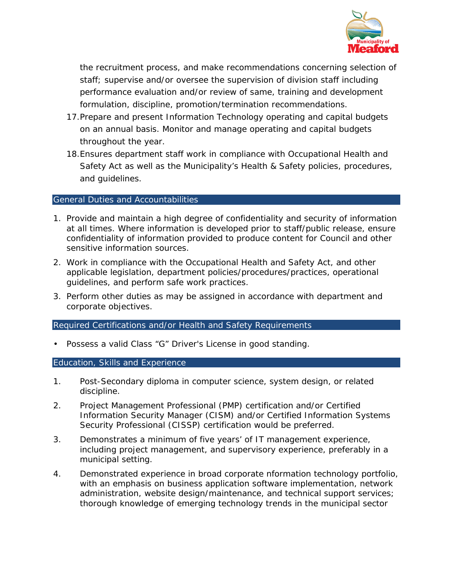

the recruitment process, and make recommendations concerning selection of staff; supervise and/or oversee the supervision of division staff including performance evaluation and/or review of same, training and development formulation, discipline, promotion/termination recommendations.

- 17.Prepare and present Information Technology operating and capital budgets on an annual basis. Monitor and manage operating and capital budgets throughout the year.
- 18.Ensures department staff work in compliance with Occupational Health and Safety Act as well as the Municipality's Health & Safety policies, procedures, and guidelines.

# General Duties and Accountabilities

- 1. Provide and maintain a high degree of confidentiality and security of information at all times. Where information is developed prior to staff/public release, ensure confidentiality of information provided to produce content for Council and other sensitive information sources.
- 2. Work in compliance with the Occupational Health and Safety Act, and other applicable legislation, department policies/procedures/practices, operational guidelines, and perform safe work practices.
- 3. Perform other duties as may be assigned in accordance with department and corporate objectives.

# Required Certifications and/or Health and Safety Requirements

Possess a valid Class "G" Driver's License in good standing.

## Education, Skills and Experience

- 1. Post-Secondary diploma in computer science, system design, or related discipline.
- 2. Project Management Professional (PMP) certification and/or Certified Information Security Manager (CISM) and/or Certified Information Systems Security Professional (CISSP) certification would be preferred.
- 3. Demonstrates a minimum of five years' of IT management experience, including project management, and supervisory experience, preferably in a municipal setting.
- 4. Demonstrated experience in broad corporate nformation technology portfolio, with an emphasis on business application software implementation, network administration, website design/maintenance, and technical support services; thorough knowledge of emerging technology trends in the municipal sector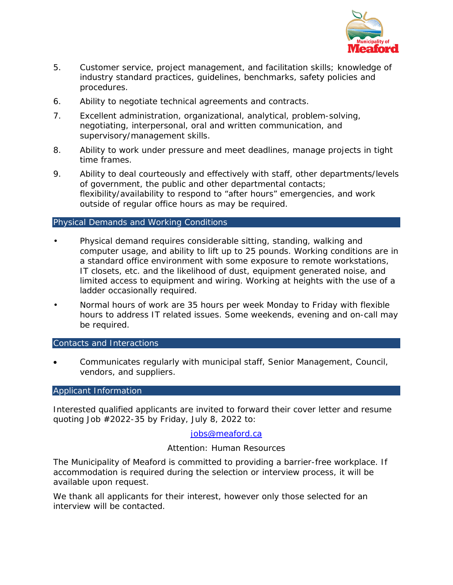

- 5. Customer service, project management, and facilitation skills; knowledge of industry standard practices, guidelines, benchmarks, safety policies and procedures.
- 6. Ability to negotiate technical agreements and contracts.
- 7. Excellent administration, organizational, analytical, problem-solving, negotiating, interpersonal, oral and written communication, and supervisory/management skills.
- 8. Ability to work under pressure and meet deadlines, manage projects in tight time frames.
- 9. Ability to deal courteously and effectively with staff, other departments/levels of government, the public and other departmental contacts; flexibility/availability to respond to "after hours" emergencies, and work outside of regular office hours as may be required.

# Physical Demands and Working Conditions

- Physical demand requires considerable sitting, standing, walking and computer usage, and ability to lift up to 25 pounds. Working conditions are in a standard office environment with some exposure to remote workstations, IT closets, etc. and the likelihood of dust, equipment generated noise, and limited access to equipment and wiring. Working at heights with the use of a ladder occasionally required.
- Normal hours of work are 35 hours per week Monday to Friday with flexible hours to address IT related issues. Some weekends, evening and on-call may be required.

Contacts and Interactions

• Communicates regularly with municipal staff, Senior Management, Council, vendors, and suppliers.

## Applicant Information

Interested qualified applicants are invited to forward their cover letter and resume quoting Job #2022-35 by Friday, July 8, 2022 to:

# [jobs@meaford.ca](mailto:jobs@meaford.ca)

## Attention: Human Resources

The Municipality of Meaford is committed to providing a barrier-free workplace. If accommodation is required during the selection or interview process, it will be available upon request.

We thank all applicants for their interest, however only those selected for an interview will be contacted.